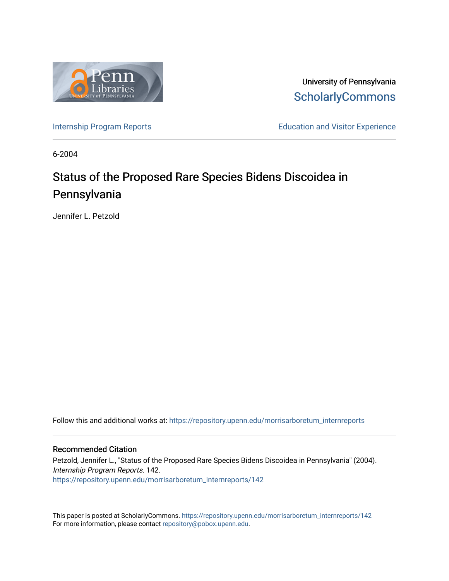

University of Pennsylvania **ScholarlyCommons** 

[Internship Program Reports](https://repository.upenn.edu/morrisarboretum_internreports) **Education and Visitor Experience** Education and Visitor Experience

6-2004

# Status of the Proposed Rare Species Bidens Discoidea in Pennsylvania

Jennifer L. Petzold

Follow this and additional works at: [https://repository.upenn.edu/morrisarboretum\\_internreports](https://repository.upenn.edu/morrisarboretum_internreports?utm_source=repository.upenn.edu%2Fmorrisarboretum_internreports%2F142&utm_medium=PDF&utm_campaign=PDFCoverPages) 

#### Recommended Citation

Petzold, Jennifer L., "Status of the Proposed Rare Species Bidens Discoidea in Pennsylvania" (2004). Internship Program Reports. 142. [https://repository.upenn.edu/morrisarboretum\\_internreports/142](https://repository.upenn.edu/morrisarboretum_internreports/142?utm_source=repository.upenn.edu%2Fmorrisarboretum_internreports%2F142&utm_medium=PDF&utm_campaign=PDFCoverPages) 

This paper is posted at ScholarlyCommons. [https://repository.upenn.edu/morrisarboretum\\_internreports/142](https://repository.upenn.edu/morrisarboretum_internreports/142) For more information, please contact [repository@pobox.upenn.edu.](mailto:repository@pobox.upenn.edu)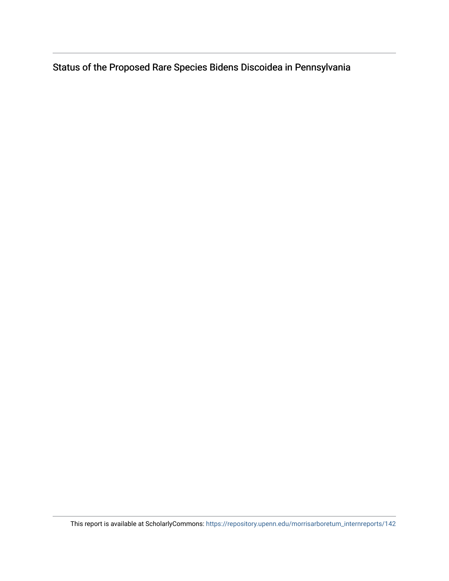Status of the Proposed Rare Species Bidens Discoidea in Pennsylvania

This report is available at ScholarlyCommons: [https://repository.upenn.edu/morrisarboretum\\_internreports/142](https://repository.upenn.edu/morrisarboretum_internreports/142)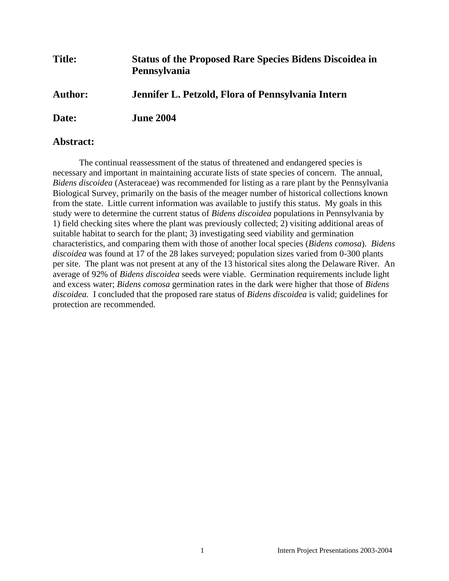| <b>Title:</b>  | <b>Status of the Proposed Rare Species Bidens Discoidea in</b><br>Pennsylvania |
|----------------|--------------------------------------------------------------------------------|
| <b>Author:</b> | Jennifer L. Petzold, Flora of Pennsylvania Intern                              |
| Date:          | <b>June 2004</b>                                                               |

### **Abstract:**

The continual reassessment of the status of threatened and endangered species is necessary and important in maintaining accurate lists of state species of concern. The annual, *Bidens discoidea* (Asteraceae) was recommended for listing as a rare plant by the Pennsylvania Biological Survey, primarily on the basis of the meager number of historical collections known from the state. Little current information was available to justify this status. My goals in this study were to determine the current status of *Bidens discoidea* populations in Pennsylvania by 1) field checking sites where the plant was previously collected; 2) visiting additional areas of suitable habitat to search for the plant; 3) investigating seed viability and germination characteristics, and comparing them with those of another local species (*Bidens comosa*). *Bidens discoidea* was found at 17 of the 28 lakes surveyed; population sizes varied from 0-300 plants per site. The plant was not present at any of the 13 historical sites along the Delaware River. An average of 92% of *Bidens discoidea* seeds were viable. Germination requirements include light and excess water; *Bidens comosa* germination rates in the dark were higher that those of *Bidens discoidea.* I concluded that the proposed rare status of *Bidens discoidea* is valid; guidelines for protection are recommended.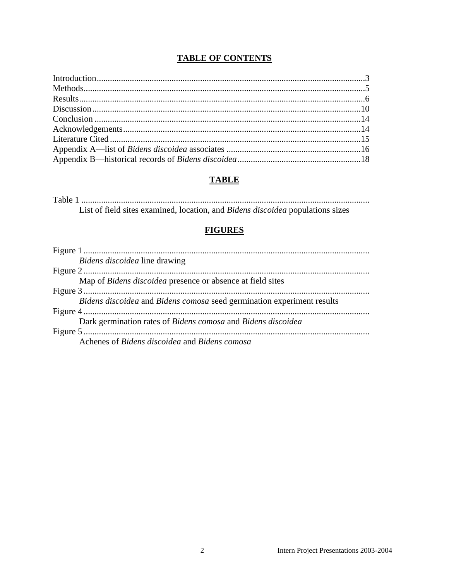### **TABLE OF CONTENTS**

### **TABLE**

List of field sites examined, location, and Bidens discoidea populations sizes

### **FIGURES**

| Bidens discoidea line drawing                                              |
|----------------------------------------------------------------------------|
|                                                                            |
| Map of <i>Bidens discoidea</i> presence or absence at field sites          |
|                                                                            |
| Bidens discoidea and Bidens comosa seed germination experiment results     |
|                                                                            |
| Dark germination rates of <i>Bidens comosa</i> and <i>Bidens discoidea</i> |
|                                                                            |
| Achenes of Bidens discoidea and Bidens comosa                              |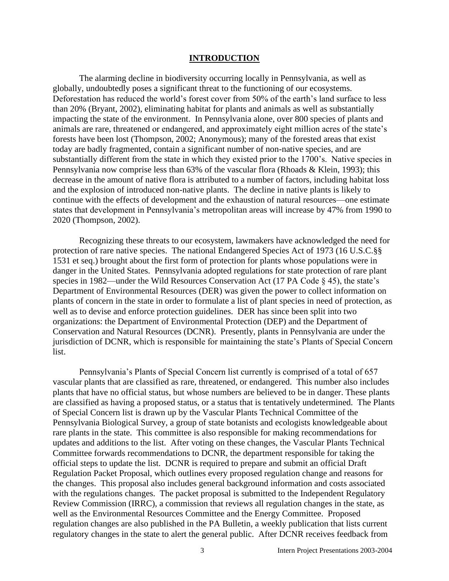#### **INTRODUCTION**

The alarming decline in biodiversity occurring locally in Pennsylvania, as well as globally, undoubtedly poses a significant threat to the functioning of our ecosystems. Deforestation has reduced the world's forest cover from 50% of the earth's land surface to less than 20% (Bryant, 2002), eliminating habitat for plants and animals as well as substantially impacting the state of the environment. In Pennsylvania alone, over 800 species of plants and animals are rare, threatened or endangered, and approximately eight million acres of the state's forests have been lost (Thompson, 2002; Anonymous); many of the forested areas that exist today are badly fragmented, contain a significant number of non-native species, and are substantially different from the state in which they existed prior to the 1700's. Native species in Pennsylvania now comprise less than 63% of the vascular flora (Rhoads & Klein, 1993); this decrease in the amount of native flora is attributed to a number of factors, including habitat loss and the explosion of introduced non-native plants. The decline in native plants is likely to continue with the effects of development and the exhaustion of natural resources—one estimate states that development in Pennsylvania's metropolitan areas will increase by 47% from 1990 to 2020 (Thompson, 2002).

Recognizing these threats to our ecosystem, lawmakers have acknowledged the need for protection of rare native species. The national Endangered Species Act of 1973 (16 U.S.C.§§ 1531 et seq.) brought about the first form of protection for plants whose populations were in danger in the United States. Pennsylvania adopted regulations for state protection of rare plant species in 1982—under the Wild Resources Conservation Act (17 PA Code § 45), the state's Department of Environmental Resources (DER) was given the power to collect information on plants of concern in the state in order to formulate a list of plant species in need of protection, as well as to devise and enforce protection guidelines. DER has since been split into two organizations: the Department of Environmental Protection (DEP) and the Department of Conservation and Natural Resources (DCNR). Presently, plants in Pennsylvania are under the jurisdiction of DCNR, which is responsible for maintaining the state's Plants of Special Concern list.

Pennsylvania's Plants of Special Concern list currently is comprised of a total of 657 vascular plants that are classified as rare, threatened, or endangered. This number also includes plants that have no official status, but whose numbers are believed to be in danger. These plants are classified as having a proposed status, or a status that is tentatively undetermined. The Plants of Special Concern list is drawn up by the Vascular Plants Technical Committee of the Pennsylvania Biological Survey, a group of state botanists and ecologists knowledgeable about rare plants in the state. This committee is also responsible for making recommendations for updates and additions to the list. After voting on these changes, the Vascular Plants Technical Committee forwards recommendations to DCNR, the department responsible for taking the official steps to update the list. DCNR is required to prepare and submit an official Draft Regulation Packet Proposal, which outlines every proposed regulation change and reasons for the changes. This proposal also includes general background information and costs associated with the regulations changes. The packet proposal is submitted to the Independent Regulatory Review Commission (IRRC), a commission that reviews all regulation changes in the state, as well as the Environmental Resources Committee and the Energy Committee. Proposed regulation changes are also published in the PA Bulletin, a weekly publication that lists current regulatory changes in the state to alert the general public. After DCNR receives feedback from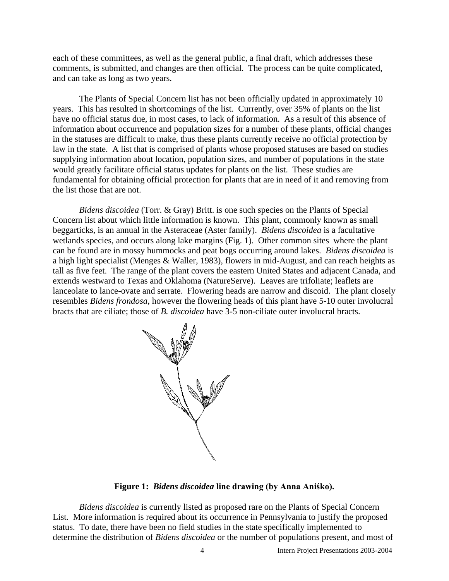each of these committees, as well as the general public, a final draft, which addresses these comments, is submitted, and changes are then official. The process can be quite complicated, and can take as long as two years.

The Plants of Special Concern list has not been officially updated in approximately 10 years. This has resulted in shortcomings of the list. Currently, over 35% of plants on the list have no official status due, in most cases, to lack of information. As a result of this absence of information about occurrence and population sizes for a number of these plants, official changes in the statuses are difficult to make, thus these plants currently receive no official protection by law in the state. A list that is comprised of plants whose proposed statuses are based on studies supplying information about location, population sizes, and number of populations in the state would greatly facilitate official status updates for plants on the list. These studies are fundamental for obtaining official protection for plants that are in need of it and removing from the list those that are not.

*Bidens discoidea* (Torr. & Gray) Britt. is one such species on the Plants of Special Concern list about which little information is known. This plant, commonly known as small beggarticks, is an annual in the Asteraceae (Aster family). *Bidens discoidea* is a facultative wetlands species, and occurs along lake margins (Fig. 1). Other common sites where the plant can be found are in mossy hummocks and peat bogs occurring around lakes. *Bidens discoidea* is a high light specialist (Menges & Waller, 1983), flowers in mid-August, and can reach heights as tall as five feet. The range of the plant covers the eastern United States and adjacent Canada, and extends westward to Texas and Oklahoma (NatureServe). Leaves are trifoliate; leaflets are lanceolate to lance-ovate and serrate. Flowering heads are narrow and discoid. The plant closely resembles *Bidens frondosa*, however the flowering heads of this plant have 5-10 outer involucral bracts that are ciliate; those of *B. discoidea* have 3-5 non-ciliate outer involucral bracts.



**Figure 1:** *Bidens discoidea* **line drawing (by Anna Aniśko).**

*Bidens discoidea* is currently listed as proposed rare on the Plants of Special Concern List. More information is required about its occurrence in Pennsylvania to justify the proposed status. To date, there have been no field studies in the state specifically implemented to determine the distribution of *Bidens discoidea* or the number of populations present, and most of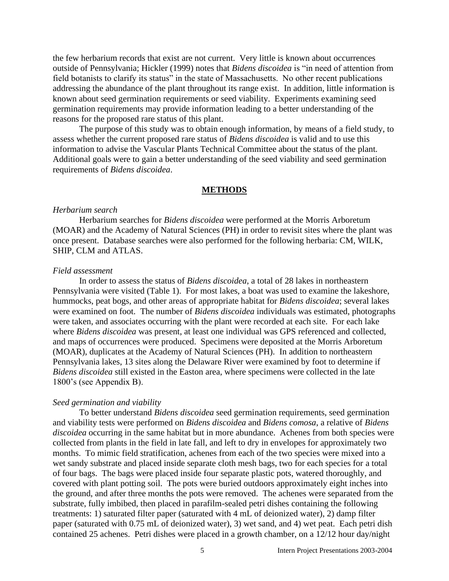the few herbarium records that exist are not current. Very little is known about occurrences outside of Pennsylvania; Hickler (1999) notes that *Bidens discoidea* is "in need of attention from field botanists to clarify its status" in the state of Massachusetts. No other recent publications addressing the abundance of the plant throughout its range exist. In addition, little information is known about seed germination requirements or seed viability. Experiments examining seed germination requirements may provide information leading to a better understanding of the reasons for the proposed rare status of this plant.

The purpose of this study was to obtain enough information, by means of a field study, to assess whether the current proposed rare status of *Bidens discoidea* is valid and to use this information to advise the Vascular Plants Technical Committee about the status of the plant*.* Additional goals were to gain a better understanding of the seed viability and seed germination requirements of *Bidens discoidea*.

#### **METHODS**

#### *Herbarium search*

Herbarium searches for *Bidens discoidea* were performed at the Morris Arboretum (MOAR) and the Academy of Natural Sciences (PH) in order to revisit sites where the plant was once present. Database searches were also performed for the following herbaria: CM, WILK, SHIP, CLM and ATLAS.

#### *Field assessment*

In order to assess the status of *Bidens discoidea*, a total of 28 lakes in northeastern Pennsylvania were visited (Table 1). For most lakes, a boat was used to examine the lakeshore, hummocks, peat bogs, and other areas of appropriate habitat for *Bidens discoidea*; several lakes were examined on foot. The number of *Bidens discoidea* individuals was estimated, photographs were taken, and associates occurring with the plant were recorded at each site. For each lake where *Bidens discoidea* was present, at least one individual was GPS referenced and collected, and maps of occurrences were produced. Specimens were deposited at the Morris Arboretum (MOAR), duplicates at the Academy of Natural Sciences (PH). In addition to northeastern Pennsylvania lakes, 13 sites along the Delaware River were examined by foot to determine if *Bidens discoidea* still existed in the Easton area, where specimens were collected in the late 1800's (see Appendix B).

#### *Seed germination and viability*

To better understand *Bidens discoidea* seed germination requirements, seed germination and viability tests were performed on *Bidens discoidea* and *Bidens comosa*, a relative of *Bidens discoidea* occurring in the same habitat but in more abundance. Achenes from both species were collected from plants in the field in late fall, and left to dry in envelopes for approximately two months. To mimic field stratification, achenes from each of the two species were mixed into a wet sandy substrate and placed inside separate cloth mesh bags, two for each species for a total of four bags. The bags were placed inside four separate plastic pots, watered thoroughly, and covered with plant potting soil. The pots were buried outdoors approximately eight inches into the ground, and after three months the pots were removed. The achenes were separated from the substrate, fully imbibed, then placed in parafilm-sealed petri dishes containing the following treatments: 1) saturated filter paper (saturated with 4 mL of deionized water), 2) damp filter paper (saturated with 0.75 mL of deionized water), 3) wet sand, and 4) wet peat. Each petri dish contained 25 achenes. Petri dishes were placed in a growth chamber, on a 12/12 hour day/night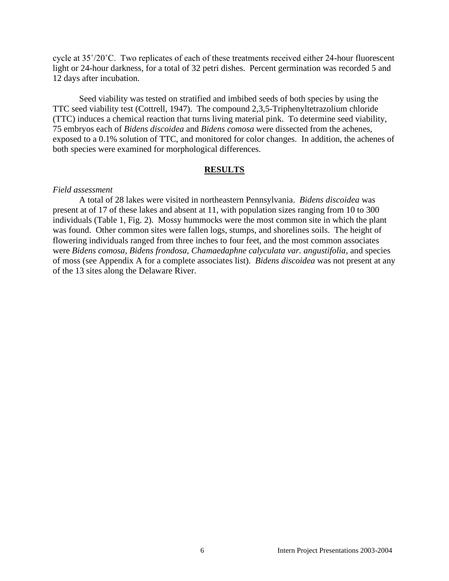cycle at 35˚/20˚C. Two replicates of each of these treatments received either 24-hour fluorescent light or 24-hour darkness, for a total of 32 petri dishes. Percent germination was recorded 5 and 12 days after incubation.

Seed viability was tested on stratified and imbibed seeds of both species by using the TTC seed viability test (Cottrell, 1947). The compound 2,3,5-Triphenyltetrazolium chloride (TTC) induces a chemical reaction that turns living material pink. To determine seed viability, 75 embryos each of *Bidens discoidea* and *Bidens comosa* were dissected from the achenes, exposed to a 0.1% solution of TTC, and monitored for color changes. In addition, the achenes of both species were examined for morphological differences.

#### **RESULTS**

#### *Field assessment*

A total of 28 lakes were visited in northeastern Pennsylvania. *Bidens discoidea* was present at of 17 of these lakes and absent at 11, with population sizes ranging from 10 to 300 individuals (Table 1, Fig. 2). Mossy hummocks were the most common site in which the plant was found. Other common sites were fallen logs, stumps, and shorelines soils. The height of flowering individuals ranged from three inches to four feet, and the most common associates were *Bidens comosa, Bidens frondosa, Chamaedaphne calyculata var. angustifolia*, and species of moss (see Appendix A for a complete associates list). *Bidens discoidea* was not present at any of the 13 sites along the Delaware River.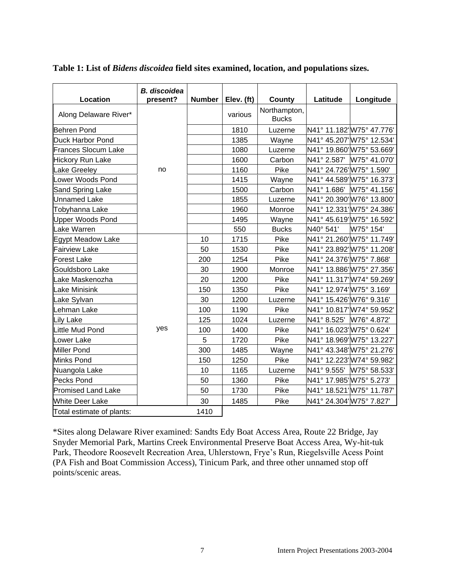| <b>Location</b>            | <b>B.</b> discoidea<br>present? | Number | Elev. (ft) | County                       | Latitude                 | Longitude                 |
|----------------------------|---------------------------------|--------|------------|------------------------------|--------------------------|---------------------------|
| Along Delaware River*      |                                 |        | various    | Northampton,<br><b>Bucks</b> |                          |                           |
| <b>Behren Pond</b>         |                                 |        | 1810       | Luzerne                      |                          | N41° 11.182' W75° 47.776' |
| <b>Duck Harbor Pond</b>    |                                 |        | 1385       | Wayne                        |                          | N41° 45.207' W75° 12.534' |
| <b>Frances Slocum Lake</b> |                                 |        | 1080       | Luzerne                      |                          | N41° 19.860' W75° 53.669' |
| <b>Hickory Run Lake</b>    |                                 |        | 1600       | Carbon                       |                          | N41° 2.587' W75° 41.070'  |
| Lake Greeley               | no                              |        | 1160       | Pike                         | N41° 24.726' W75° 1.590' |                           |
| Lower Woods Pond           |                                 |        | 1415       | Wayne                        |                          | N41° 44.589' W75° 16.373' |
| Sand Spring Lake           |                                 |        | 1500       | Carbon                       |                          | N41° 1.686' W75° 41.156'  |
| <b>Unnamed Lake</b>        |                                 |        | 1855       | Luzerne                      |                          | N41° 20.390' W76° 13.800' |
| Tobyhanna Lake             |                                 |        | 1960       | Monroe                       |                          | N41° 12.331' W75° 24.386' |
| <b>Upper Woods Pond</b>    |                                 |        | 1495       | Wayne                        |                          | N41° 45.619' W75° 16.592' |
| Lake Warren                |                                 |        | 550        | <b>Bucks</b>                 | N40° 541'                | W75° 154'                 |
| <b>Egypt Meadow Lake</b>   |                                 | 10     | 1715       | Pike                         |                          | N41° 21.260' W75° 11.749' |
| <b>Fairview Lake</b>       |                                 | 50     | 1530       | Pike                         |                          | N41° 23.892' W75° 11.208' |
| <b>Forest Lake</b>         |                                 | 200    | 1254       | Pike                         | N41° 24.376' W75° 7.868' |                           |
| Gouldsboro Lake            |                                 | 30     | 1900       | Monroe                       |                          | N41° 13.886' W75° 27.356' |
| Lake Maskenozha            |                                 | 20     | 1200       | Pike                         |                          | N41° 11.317' W74° 59.269' |
| Lake Minisink              |                                 | 150    | 1350       | Pike                         | N41° 12.974' W75° 3.169' |                           |
| Lake Sylvan                |                                 | 30     | 1200       | Luzerne                      | N41° 15.426' W76° 9.316' |                           |
| Lehman Lake                |                                 | 100    | 1190       | Pike                         |                          | N41° 10.817' W74° 59.952' |
| <b>Lily Lake</b>           |                                 | 125    | 1024       | Luzerne                      | N41° 8.525' W76° 4.872'  |                           |
| Little Mud Pond            | yes                             | 100    | 1400       | Pike                         | N41° 16.023' W75° 0.624' |                           |
| Lower Lake                 |                                 | 5      | 1720       | Pike                         |                          | N41° 18.969' W75° 13.227' |
| <b>Miller Pond</b>         |                                 | 300    | 1485       | Wayne                        |                          | N41° 43.348' W75° 21.276' |
| <b>Minks Pond</b>          |                                 | 150    | 1250       | Pike                         |                          | N41° 12.223' W74° 59.982' |
| Nuangola Lake              |                                 | 10     | 1165       | Luzerne                      |                          | N41° 9.555' W75° 58.533'  |
| <b>Pecks Pond</b>          |                                 | 50     | 1360       | Pike                         | N41° 17.985' W75° 5.273' |                           |
| <b>Promised Land Lake</b>  |                                 | 50     | 1730       | Pike                         |                          | N41° 18.521' W75° 11.787' |
| <b>White Deer Lake</b>     |                                 | 30     | 1485       | Pike                         | N41° 24.304' W75° 7.827' |                           |
| Total estimate of plants:  |                                 | 1410   |            |                              |                          |                           |

#### **Table 1: List of** *Bidens discoidea* **field sites examined, location, and populations sizes.**

\*Sites along Delaware River examined: Sandts Edy Boat Access Area, Route 22 Bridge, Jay Snyder Memorial Park, Martins Creek Environmental Preserve Boat Access Area, Wy-hit-tuk Park, Theodore Roosevelt Recreation Area, Uhlerstown, Frye's Run, Riegelsville Acess Point (PA Fish and Boat Commission Access), Tinicum Park, and three other unnamed stop off points/scenic areas.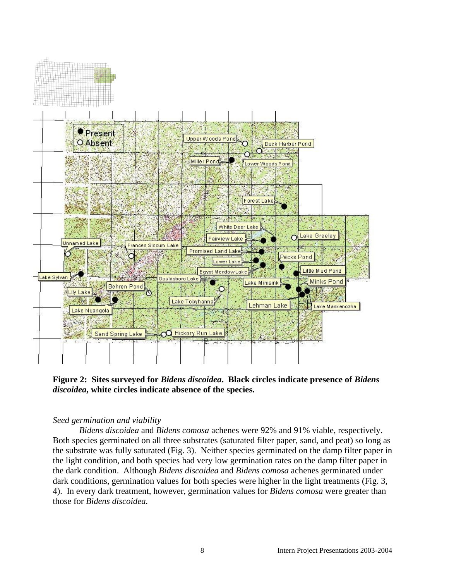

**Figure 2: Sites surveyed for** *Bidens discoidea***. Black circles indicate presence of** *Bidens discoidea***, white circles indicate absence of the species.** 

#### *Seed germination and viability*

*Bidens discoidea* and *Bidens comosa* achenes were 92% and 91% viable, respectively. Both species germinated on all three substrates (saturated filter paper, sand, and peat) so long as the substrate was fully saturated (Fig. 3). Neither species germinated on the damp filter paper in the light condition, and both species had very low germination rates on the damp filter paper in the dark condition. Although *Bidens discoidea* and *Bidens comosa* achenes germinated under dark conditions, germination values for both species were higher in the light treatments (Fig. 3, 4). In every dark treatment, however, germination values for *Bidens comosa* were greater than those for *Bidens discoidea.*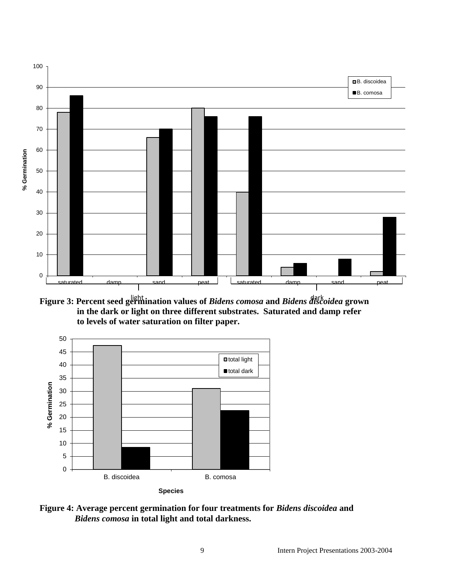

**Figure 3: Percent seed germination values of** *Bidens comosa* **and** *Bidens discoidea* **grown in the dark or light on three different substrates. Saturated and damp refer to levels of water saturation on filter paper.**



**Figure 4: Average percent germination for four treatments for** *Bidens discoidea* **and** *Bidens comosa* **in total light and total darkness.**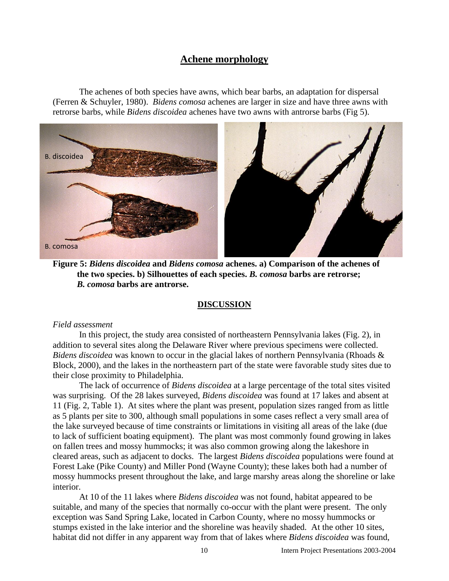### **Achene morphology**

The achenes of both species have awns, which bear barbs, an adaptation for dispersal (Ferren & Schuyler, 1980). *Bidens comosa* achenes are larger in size and have three awns with retrorse barbs, while *Bidens discoidea* achenes have two awns with antrorse barbs (Fig 5).



**Figure 5:** *Bidens discoidea* **and** *Bidens comosa* **achenes. a) Comparison of the achenes of the two species. b) Silhouettes of each species.** *B. comosa* **barbs are retrorse;** *B. comosa* **barbs are antrorse.** 

#### **DISCUSSION**

#### *Field assessment*

In this project, the study area consisted of northeastern Pennsylvania lakes (Fig. 2), in addition to several sites along the Delaware River where previous specimens were collected. *Bidens discoidea* was known to occur in the glacial lakes of northern Pennsylvania (Rhoads & Block, 2000), and the lakes in the northeastern part of the state were favorable study sites due to their close proximity to Philadelphia.

The lack of occurrence of *Bidens discoidea* at a large percentage of the total sites visited was surprising. Of the 28 lakes surveyed, *Bidens discoidea* was found at 17 lakes and absent at 11 (Fig. 2, Table 1). At sites where the plant was present, population sizes ranged from as little as 5 plants per site to 300, although small populations in some cases reflect a very small area of the lake surveyed because of time constraints or limitations in visiting all areas of the lake (due to lack of sufficient boating equipment). The plant was most commonly found growing in lakes on fallen trees and mossy hummocks; it was also common growing along the lakeshore in cleared areas, such as adjacent to docks. The largest *Bidens discoidea* populations were found at Forest Lake (Pike County) and Miller Pond (Wayne County); these lakes both had a number of mossy hummocks present throughout the lake, and large marshy areas along the shoreline or lake interior.

At 10 of the 11 lakes where *Bidens discoidea* was not found, habitat appeared to be suitable, and many of the species that normally co-occur with the plant were present. The only exception was Sand Spring Lake, located in Carbon County, where no mossy hummocks or stumps existed in the lake interior and the shoreline was heavily shaded. At the other 10 sites, habitat did not differ in any apparent way from that of lakes where *Bidens discoidea* was found,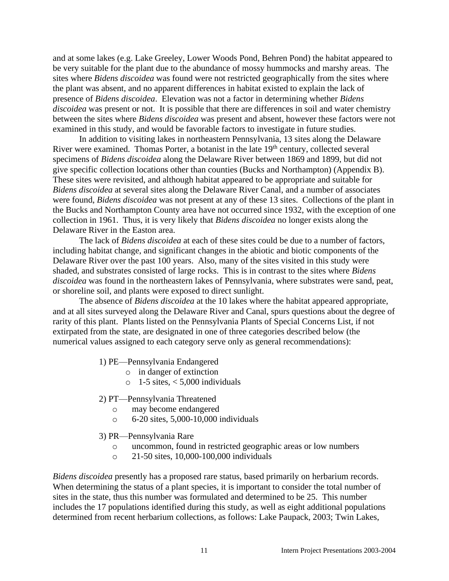and at some lakes (e.g. Lake Greeley, Lower Woods Pond, Behren Pond) the habitat appeared to be very suitable for the plant due to the abundance of mossy hummocks and marshy areas. The sites where *Bidens discoidea* was found were not restricted geographically from the sites where the plant was absent, and no apparent differences in habitat existed to explain the lack of presence of *Bidens discoidea*. Elevation was not a factor in determining whether *Bidens discoidea* was present or not. It is possible that there are differences in soil and water chemistry between the sites where *Bidens discoidea* was present and absent, however these factors were not examined in this study, and would be favorable factors to investigate in future studies.

In addition to visiting lakes in northeastern Pennsylvania, 13 sites along the Delaware River were examined. Thomas Porter, a botanist in the late 19<sup>th</sup> century, collected several specimens of *Bidens discoidea* along the Delaware River between 1869 and 1899, but did not give specific collection locations other than counties (Bucks and Northampton) (Appendix B). These sites were revisited, and although habitat appeared to be appropriate and suitable for *Bidens discoidea* at several sites along the Delaware River Canal, and a number of associates were found, *Bidens discoidea* was not present at any of these 13 sites. Collections of the plant in the Bucks and Northampton County area have not occurred since 1932, with the exception of one collection in 1961. Thus, it is very likely that *Bidens discoidea* no longer exists along the Delaware River in the Easton area.

The lack of *Bidens discoidea* at each of these sites could be due to a number of factors, including habitat change, and significant changes in the abiotic and biotic components of the Delaware River over the past 100 years. Also, many of the sites visited in this study were shaded, and substrates consisted of large rocks. This is in contrast to the sites where *Bidens discoidea* was found in the northeastern lakes of Pennsylvania, where substrates were sand, peat, or shoreline soil, and plants were exposed to direct sunlight.

The absence of *Bidens discoidea* at the 10 lakes where the habitat appeared appropriate, and at all sites surveyed along the Delaware River and Canal, spurs questions about the degree of rarity of this plant. Plants listed on the Pennsylvania Plants of Special Concerns List, if not extirpated from the state, are designated in one of three categories described below (the numerical values assigned to each category serve only as general recommendations):

- 1) PE—Pennsylvania Endangered
	- o in danger of extinction
	- $\circ$  1-5 sites,  $\lt$  5,000 individuals
- 2) PT—Pennsylvania Threatened
	- o may become endangered
	- o 6-20 sites, 5,000-10,000 individuals
- 3) PR—Pennsylvania Rare
	- o uncommon, found in restricted geographic areas or low numbers
	- o 21-50 sites, 10,000-100,000 individuals

*Bidens discoidea* presently has a proposed rare status, based primarily on herbarium records. When determining the status of a plant species, it is important to consider the total number of sites in the state, thus this number was formulated and determined to be 25. This number includes the 17 populations identified during this study, as well as eight additional populations determined from recent herbarium collections, as follows: Lake Paupack, 2003; Twin Lakes,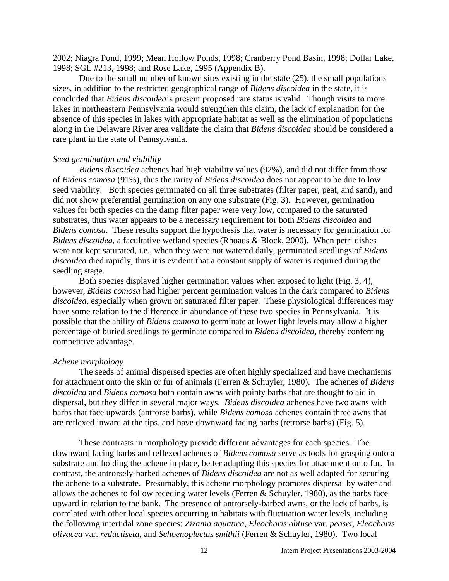2002; Niagra Pond, 1999; Mean Hollow Ponds, 1998; Cranberry Pond Basin, 1998; Dollar Lake, 1998; SGL #213, 1998; and Rose Lake, 1995 (Appendix B).

Due to the small number of known sites existing in the state (25), the small populations sizes, in addition to the restricted geographical range of *Bidens discoidea* in the state, it is concluded that *Bidens discoidea*'s present proposed rare status is valid. Though visits to more lakes in northeastern Pennsylvania would strengthen this claim, the lack of explanation for the absence of this species in lakes with appropriate habitat as well as the elimination of populations along in the Delaware River area validate the claim that *Bidens discoidea* should be considered a rare plant in the state of Pennsylvania.

#### *Seed germination and viability*

*Bidens discoidea* achenes had high viability values (92%), and did not differ from those of *Bidens comosa* (91%), thus the rarity of *Bidens discoidea* does not appear to be due to low seed viability. Both species germinated on all three substrates (filter paper, peat, and sand), and did not show preferential germination on any one substrate (Fig. 3). However, germination values for both species on the damp filter paper were very low, compared to the saturated substrates, thus water appears to be a necessary requirement for both *Bidens discoidea* and *Bidens comosa*. These results support the hypothesis that water is necessary for germination for *Bidens discoidea,* a facultative wetland species (Rhoads & Block, 2000). When petri dishes were not kept saturated, i.e., when they were not watered daily, germinated seedlings of *Bidens discoidea* died rapidly, thus it is evident that a constant supply of water is required during the seedling stage.

Both species displayed higher germination values when exposed to light (Fig. 3, 4), however, *Bidens comosa* had higher percent germination values in the dark compared to *Bidens discoidea*, especially when grown on saturated filter paper. These physiological differences may have some relation to the difference in abundance of these two species in Pennsylvania. It is possible that the ability of *Bidens comosa* to germinate at lower light levels may allow a higher percentage of buried seedlings to germinate compared to *Bidens discoidea,* thereby conferring competitive advantage.

#### *Achene morphology*

The seeds of animal dispersed species are often highly specialized and have mechanisms for attachment onto the skin or fur of animals (Ferren & Schuyler, 1980). The achenes of *Bidens discoidea* and *Bidens comosa* both contain awns with pointy barbs that are thought to aid in dispersal, but they differ in several major ways. *Bidens discoidea* achenes have two awns with barbs that face upwards (antrorse barbs), while *Bidens comosa* achenes contain three awns that are reflexed inward at the tips, and have downward facing barbs (retrorse barbs) (Fig. 5).

These contrasts in morphology provide different advantages for each species. The downward facing barbs and reflexed achenes of *Bidens comosa* serve as tools for grasping onto a substrate and holding the achene in place, better adapting this species for attachment onto fur. In contrast, the antrorsely-barbed achenes of *Bidens discoidea* are not as well adapted for securing the achene to a substrate. Presumably, this achene morphology promotes dispersal by water and allows the achenes to follow receding water levels (Ferren & Schuyler, 1980), as the barbs face upward in relation to the bank. The presence of antrorsely-barbed awns, or the lack of barbs, is correlated with other local species occurring in habitats with fluctuation water levels, including the following intertidal zone species: *Zizania aquatica*, *Eleocharis obtuse* var. *peasei, Eleocharis olivacea* var. *reductiseta,* and *Schoenoplectus smithii* (Ferren & Schuyler, 1980). Two local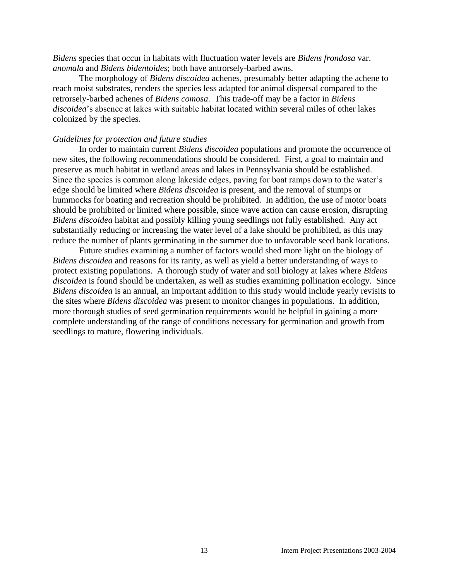*Bidens* species that occur in habitats with fluctuation water levels are *Bidens frondosa* var. *anomala* and *Bidens bidentoides*; both have antrorsely-barbed awns.

The morphology of *Bidens discoidea* achenes, presumably better adapting the achene to reach moist substrates, renders the species less adapted for animal dispersal compared to the retrorsely-barbed achenes of *Bidens comosa*. This trade-off may be a factor in *Bidens discoidea*'s absence at lakes with suitable habitat located within several miles of other lakes colonized by the species.

#### *Guidelines for protection and future studies*

In order to maintain current *Bidens discoidea* populations and promote the occurrence of new sites, the following recommendations should be considered. First, a goal to maintain and preserve as much habitat in wetland areas and lakes in Pennsylvania should be established. Since the species is common along lakeside edges, paving for boat ramps down to the water's edge should be limited where *Bidens discoidea* is present, and the removal of stumps or hummocks for boating and recreation should be prohibited. In addition, the use of motor boats should be prohibited or limited where possible, since wave action can cause erosion, disrupting *Bidens discoidea* habitat and possibly killing young seedlings not fully established. Any act substantially reducing or increasing the water level of a lake should be prohibited, as this may reduce the number of plants germinating in the summer due to unfavorable seed bank locations.

Future studies examining a number of factors would shed more light on the biology of *Bidens discoidea* and reasons for its rarity, as well as yield a better understanding of ways to protect existing populations. A thorough study of water and soil biology at lakes where *Bidens discoidea* is found should be undertaken, as well as studies examining pollination ecology. Since *Bidens discoidea* is an annual, an important addition to this study would include yearly revisits to the sites where *Bidens discoidea* was present to monitor changes in populations. In addition, more thorough studies of seed germination requirements would be helpful in gaining a more complete understanding of the range of conditions necessary for germination and growth from seedlings to mature, flowering individuals.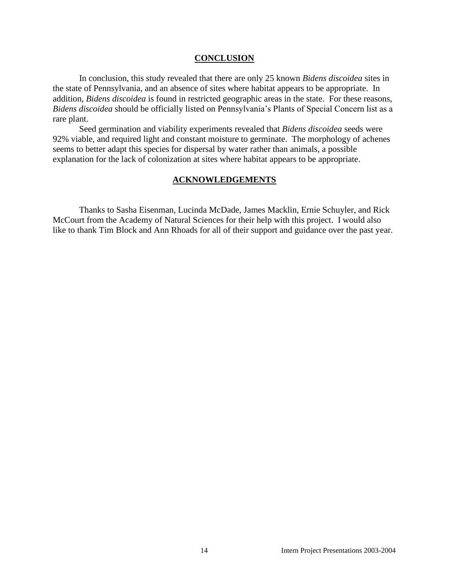#### **CONCLUSION**

In conclusion, this study revealed that there are only 25 known *Bidens discoidea* sites in the state of Pennsylvania, and an absence of sites where habitat appears to be appropriate. In addition, *Bidens discoidea* is found in restricted geographic areas in the state. For these reasons, *Bidens discoidea* should be officially listed on Pennsylvania's Plants of Special Concern list as a rare plant.

Seed germination and viability experiments revealed that *Bidens discoidea* seeds were 92% viable, and required light and constant moisture to germinate. The morphology of achenes seems to better adapt this species for dispersal by water rather than animals, a possible explanation for the lack of colonization at sites where habitat appears to be appropriate.

#### **ACKNOWLEDGEMENTS**

Thanks to Sasha Eisenman, Lucinda McDade, James Macklin, Ernie Schuyler, and Rick McCourt from the Academy of Natural Sciences for their help with this project. I would also like to thank Tim Block and Ann Rhoads for all of their support and guidance over the past year.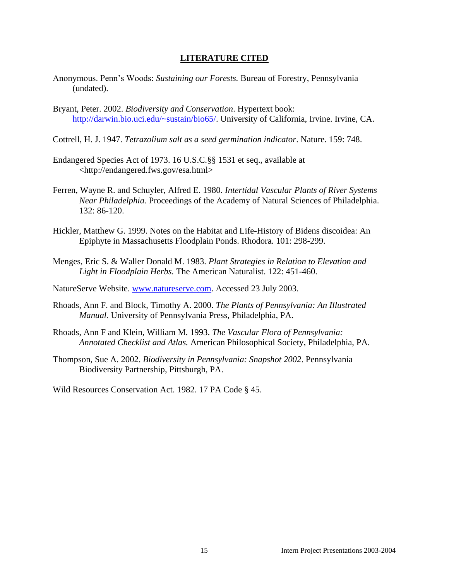#### **LITERATURE CITED**

- Anonymous. Penn's Woods: *Sustaining our Forests.* Bureau of Forestry, Pennsylvania (undated).
- Bryant, Peter. 2002. *Biodiversity and Conservation*. Hypertext book: [http://darwin.bio.uci.edu/~sustain/bio65/.](http://darwin.bio.uci.edu/~sustain/bio65/) University of California, Irvine. Irvine, CA.
- Cottrell, H. J. 1947. *Tetrazolium salt as a seed germination indicator*. Nature. 159: 748.
- Endangered Species Act of 1973. 16 U.S.C.§§ 1531 et seq., available at <http://endangered.fws.gov/esa.html>
- Ferren, Wayne R. and Schuyler, Alfred E. 1980. *Intertidal Vascular Plants of River Systems Near Philadelphia.* Proceedings of the Academy of Natural Sciences of Philadelphia. 132: 86-120.
- Hickler, Matthew G. 1999. Notes on the Habitat and Life-History of Bidens discoidea: An Epiphyte in Massachusetts Floodplain Ponds. Rhodora. 101: 298-299.
- Menges, Eric S. & Waller Donald M. 1983. *Plant Strategies in Relation to Elevation and Light in Floodplain Herbs.* The American Naturalist. 122: 451-460.
- NatureServe Website. [www.natureserve.com.](http://www.natureserve.com/) Accessed 23 July 2003.
- Rhoads, Ann F. and Block, Timothy A. 2000. *The Plants of Pennsylvania: An Illustrated Manual.* University of Pennsylvania Press, Philadelphia, PA.
- Rhoads, Ann F and Klein, William M. 1993. *The Vascular Flora of Pennsylvania: Annotated Checklist and Atlas.* American Philosophical Society, Philadelphia, PA.
- Thompson, Sue A. 2002. *Biodiversity in Pennsylvania: Snapshot 2002*. Pennsylvania Biodiversity Partnership, Pittsburgh, PA.

Wild Resources Conservation Act. 1982. 17 PA Code § 45.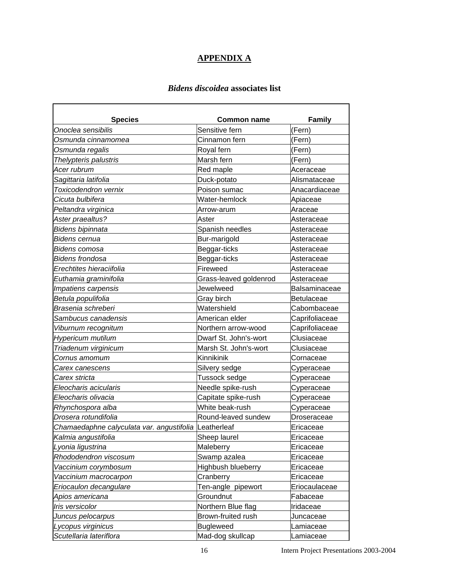## **APPENDIX A**

### *Bidens discoidea* **associates list**

r

| <b>Species</b>                                        | <b>Common name</b>        | <b>Family</b>        |
|-------------------------------------------------------|---------------------------|----------------------|
| Onoclea sensibilis                                    | Sensitive fern            | (Fern)               |
| Osmunda cinnamomea                                    | Cinnamon fern             | (Fern)               |
| Osmunda regalis                                       | Royal fern                | (Fern)               |
| Thelypteris palustris                                 | Marsh fern                | (Fern)               |
| Acer rubrum                                           | Red maple                 | Aceraceae            |
| Sagittaria latifolia                                  | Duck-potato               | Alismataceae         |
| Toxicodendron vernix                                  | Poison sumac              | Anacardiaceae        |
| Cicuta bulbifera                                      | Water-hemlock             | Apiaceae             |
| Peltandra virginica                                   | Arrow-arum                | Araceae              |
| Aster praealtus?                                      | Aster                     | Asteraceae           |
| Bidens bipinnata                                      | Spanish needles           | Asteraceae           |
| Bidens cernua                                         | Bur-marigold              | Asteraceae           |
| Bidens comosa                                         | Beggar-ticks              | Asteraceae           |
| Bidens frondosa                                       | Beggar-ticks              | Asteraceae           |
| Erechtites hieraciifolia                              | <b>Fireweed</b>           | Asteraceae           |
| Euthamia graminifolia                                 | Grass-leaved goldenrod    | Asteraceae           |
| Impatiens carpensis                                   | Jewelweed                 | <b>Balsaminaceae</b> |
| Betula populifolia                                    | Gray birch                | <b>Betulaceae</b>    |
| Brasenia schreberi                                    | Watershield               | Cabombaceae          |
| Sambucus canadensis                                   | American elder            | Caprifoliaceae       |
| Viburnum recognitum                                   | Northern arrow-wood       | Caprifoliaceae       |
| Hypericum mutilum                                     | Dwarf St. John's-wort     | Clusiaceae           |
| Triadenum virginicum                                  | Marsh St. John's-wort     | Clusiaceae           |
| Cornus amomum                                         | Kinnikinik                | Cornaceae            |
| Carex canescens                                       | Silvery sedge             | Cyperaceae           |
| Carex stricta                                         | Tussock sedge             | Cyperaceae           |
| Eleocharis acicularis                                 | Needle spike-rush         | Cyperaceae           |
| Eleocharis olivacia                                   | Capitate spike-rush       | Cyperaceae           |
| Rhynchospora alba                                     | White beak-rush           | Cyperaceae           |
| Drosera rotundifolia                                  | Round-leaved sundew       | Droseraceae          |
| Chamaedaphne calyculata var. angustifolia Leatherleaf |                           | Ericaceae            |
| Kalmia angustifolia                                   | Sheep laurel              | Ericaceae            |
| Lyonia ligustrina                                     | Maleberry                 | Ericaceae            |
| Rhododendron viscosum                                 | Swamp azalea              | Ericaceae            |
| Vaccinium corymbosum                                  | <b>Highbush blueberry</b> | Ericaceae            |
| Vaccinium macrocarpon                                 | Cranberry                 | Ericaceae            |
| Eriocaulon decangulare                                | Ten-angle pipewort        | Eriocaulaceae        |
| Apios americana                                       | Groundnut                 | Fabaceae             |
| Iris versicolor                                       | Northern Blue flag        | Iridaceae            |
| Juncus pelocarpus                                     | Brown-fruited rush        | Juncaceae            |
| Lycopus virginicus                                    | <b>Bugleweed</b>          | Lamiaceae            |
| Scutellaria lateriflora                               | Mad-dog skullcap          | Lamiaceae            |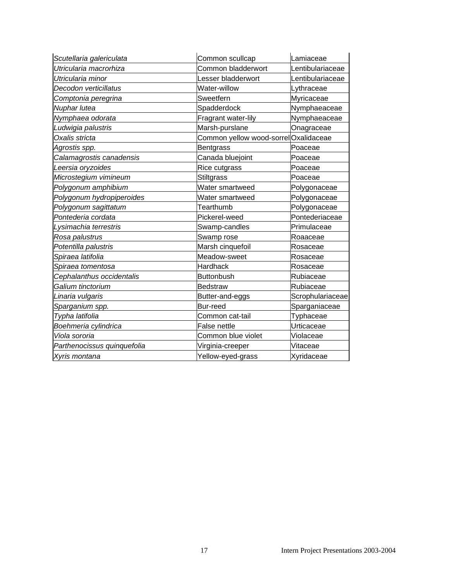| Scutellaria galericulata    | Common scullcap                      | lLamiaceae       |
|-----------------------------|--------------------------------------|------------------|
| Utricularia macrorhiza      | Common bladderwort                   | Lentibulariaceae |
| Utricularia minor           | esser bladderwort                    | Lentibulariaceae |
| Decodon verticillatus       | Water-willow                         | Lythraceae       |
| Comptonia peregrina         | Sweetfern                            | Myricaceae       |
| Nuphar lutea                | Spadderdock                          | Nymphaeaceae     |
| Nymphaea odorata            | Fragrant water-lily                  | Nymphaeaceae     |
| Ludwigia palustris          | Marsh-purslane                       | Onagraceae       |
| Oxalis stricta              | Common yellow wood-sorrelOxalidaceae |                  |
| Agrostis spp.               | <b>Bentgrass</b>                     | Poaceae          |
| Calamagrostis canadensis    | Canada bluejoint                     | Poaceae          |
| Leersia oryzoides           | Rice cutgrass                        | Poaceae          |
| Microstegium vimineum       | <b>Stiltgrass</b>                    | Poaceae          |
| Polygonum amphibium         | Water smartweed                      | Polygonaceae     |
| Polygonum hydropiperoides   | Water smartweed                      | Polygonaceae     |
| Polygonum sagittatum        | Tearthumb                            | Polygonaceae     |
| Pontederia cordata          | Pickerel-weed                        | Pontederiaceae   |
| Lysimachia terrestris       | Swamp-candles                        | Primulaceae      |
| Rosa palustrus              | Swamp rose                           | Roaaceae         |
| Potentilla palustris        | Marsh cinquefoil                     | Rosaceae         |
| Spiraea latifolia           | Meadow-sweet                         | Rosaceae         |
| Spiraea tomentosa           | Hardhack                             | Rosaceae         |
| Cephalanthus occidentalis   | <b>Buttonbush</b>                    | Rubiaceae        |
| Galium tinctorium           | <b>Bedstraw</b>                      | Rubiaceae        |
| Linaria vulgaris            | Butter-and-eggs                      | Scrophulariaceae |
| Sparganium spp.             | <b>Bur-reed</b>                      | Sparganiaceae    |
| Typha latifolia             | Common cat-tail                      | <b>Typhaceae</b> |
| Boehmeria cylindrica        | False nettle                         | Urticaceae       |
| Viola sororia               | Common blue violet                   | Violaceae        |
| Parthenocissus quinquefolia | Virginia-creeper                     | Vitaceae         |
| Xyris montana               | Yellow-eyed-grass                    | Xyridaceae       |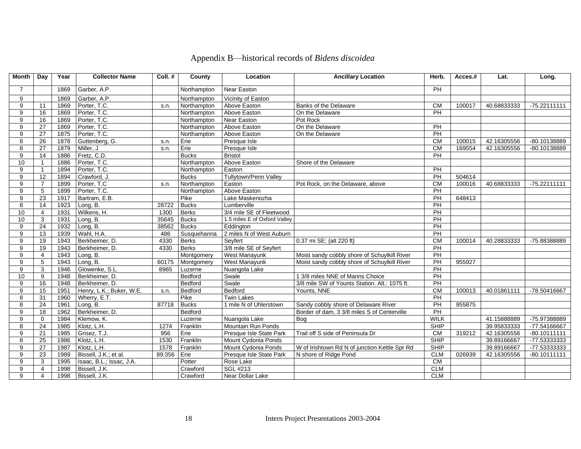| Month          | Day             | Year | <b>Collector Name</b>    | Coll. # | County       | Location                     | <b>Ancillary Location</b>                     | Herb.           | Acces.# | Lat.        | Long.          |
|----------------|-----------------|------|--------------------------|---------|--------------|------------------------------|-----------------------------------------------|-----------------|---------|-------------|----------------|
| $\overline{7}$ |                 | 1869 | Garber, A.P.             |         | Northampton  | Near Easton                  |                                               | PH              |         |             |                |
| 9              |                 | 1869 | Garber, A.P.             |         | Northampton  | Vicinity of Easton           |                                               |                 |         |             |                |
| 9              | 11              | 1869 | Porter, T.C.             | s.n.    | Northampton  | Above Easton                 | Banks of the Delaware                         | <b>CM</b>       | 100017  | 40.68833333 | $-75.22111111$ |
| 9              | 16              | 1869 | Porter, T.C.             |         | Northampton  | Above Easton                 | On the Delaware                               | PH              |         |             |                |
| 9              | 16              | 1869 | Porter, T.C.             |         | Northampton  | Near Easton                  | Pot Rock                                      |                 |         |             |                |
| 9              | 27              | 1869 | Porter, T.C.             |         | Northampton  | Above Easton                 | On the Delaware                               | <b>PH</b>       |         |             |                |
| 9              | $\overline{27}$ | 1875 | Porter, T.C.             |         | Northampton  | Above Easton                 | On the Delaware                               | $\overline{PH}$ |         |             |                |
| 8              | 26              | 1878 | Guttenberg, G.           | s.n.    | Erie         | Presque Isle                 |                                               | CM              | 100015  | 42.16305556 | -80.10138889   |
| 8              | $\overline{27}$ | 1879 | Miller, J                | s.n.    | Erie         | Presque Isle                 |                                               | CM              | 169554  | 42.16305556 | -80.10138889   |
| 9              | 14              | 1886 | Fretz, C.D.              |         | <b>Bucks</b> | <b>Bristol</b>               |                                               | PH              |         |             |                |
| 10             | 1               | 1886 | Porter, T.C.             |         | Northampton  | Above Easton                 | Shore of the Delaware                         |                 |         |             |                |
| 9              | $\overline{1}$  | 1894 | Porter, T.C.             |         | Northampton  | Easton                       |                                               | PH              |         |             |                |
| 9              | 12              | 1894 | Crawford, J.             |         | <b>Bucks</b> | Tullytown/Penn Valley        |                                               | PH              | 504614  |             |                |
| 9              | $\overline{7}$  | 1899 | Porter, T.C              | s.n.    | Northampton  | Easton                       | Pot Rock, on the Delaware, above              | <b>CM</b>       | 100016  | 40.68833333 | $-75.22111111$ |
| 9              | $\overline{5}$  | 1899 | Porter, T.C.             |         | Northampton  | Above Easton                 |                                               | PH              |         |             |                |
| 9              | 23              | 1917 | Bartram, E.B.            |         | Pike         | Lake Maskenozha              |                                               | $\overline{PH}$ | 648413  |             |                |
| 8              | 14              | 1923 | Long, B.                 | 28722   | <b>Bucks</b> | Lumberville                  |                                               | $\overline{PH}$ |         |             |                |
| 10             | $\overline{4}$  | 1931 | Wilkens, H.              | 1300    | <b>Berks</b> | 3/4 mile SE of Fleetwood     |                                               | PH              |         |             |                |
| 10             | 3               | 1931 | Long, $\overline{B}$ .   | 35645   | <b>Bucks</b> | 1.5 miles E of Oxford Valley |                                               | PH              |         |             |                |
| 9              | 24              | 1932 | Long, B.                 | 38562   | <b>Bucks</b> | Eddington                    |                                               | PH              |         |             |                |
| 9              | 13              | 1939 | Wahl, H.A.               | 486     | Susquehanna  | 2 miles N of West Auburn     |                                               | PH              |         |             |                |
| 9              | 19              | 1943 | Berkheimer, D.           | 4330    | <b>Berks</b> | Sevfert                      | 0.37 mi SE; {alt 220 ft}                      | <b>CM</b>       | 100014  | 40.28833333 | -75.88388889   |
| 9              | 19              | 1943 | Berkheimer, D.           | 4330    | <b>Berks</b> | 3/8 mile SE of Seyfert       |                                               | PH              |         |             |                |
| 9              | 4               | 1943 | Long, B.                 |         | Montgomery   | West Manayunk                | Moist sandy cobbly shore of Schuylkill River  | $\overline{PH}$ |         |             |                |
| 9              | $5\phantom{.0}$ | 1943 | Long, B.                 | 60175   | Montgomery   | <b>West Manayunk</b>         | Moist sandy cobbly shore of Schuylkill River  | PH              | 955927  |             |                |
| 9              | $\overline{3}$  | 1946 | Glowenke, S.L.           | 8965    | Luzerne      | Nuangola Lake                |                                               | PH              |         |             |                |
| 10             | 9               | 1948 | Berkheimer, D.           |         | Bedford      | Swale                        | 1 3/8 miles NNE of Manns Choice               | PH              |         |             |                |
| 9              | 16              | 1948 | Berkheimer, D.           |         | Bedford      | Swale                        | 3/8 mile SW of Younts Station. Alt.: 1075 ft. | PH              |         |             |                |
| 9              | 15              | 1951 | Henry, L.K.; Buker, W.E. | s.n.    | Bedford      | Bedford                      | Younts, NNE                                   | <b>CM</b>       | 100013  | 40.01861111 | -78.50416667   |
| 8              | 31              | 1960 | Wherry, E.T.             |         | Pike         | <b>Twin Lakes</b>            |                                               | $\overline{P}$  |         |             |                |
| 8              | $\overline{24}$ | 1961 | Long, B.                 | 87718   | <b>Bucks</b> | 1 mile N of Uhlerstown       | Sandy cobbly shore of Delaware River          | PH              | 955875  |             |                |
| 9              | 18              | 1962 | Berkheimer, D.           |         | Bedford      |                              | Border of dam, 3 3/8 miles S of Centerville   | PH              |         |             |                |
| 9              | $\mathbf 0$     | 1984 | Klemow, K.               |         | Luzerne      | Nuangola Lake                | Bog                                           | <b>WILK</b>     |         | 41.15888889 | -75.97388889   |
| 8              | 24              | 1985 | Klotz, L.H.              | 1274    | Franklin     | <b>Mountain Run Ponds</b>    |                                               | <b>SHIP</b>     |         | 39.95833333 | -77.54166667   |
| 9              | 21              | 1985 | Grisez, T.J.             | 956     | Erie         | Presque Isle State Park      | Trail off S side of Peninsula Dr              | <b>CM</b>       | 319212  | 42.16305556 | $-80.10111111$ |
| 8              | 25              | 1986 | Klotz, L.H.              | 1530    | Franklin     | Mount Cydonia Ponds          |                                               | <b>SHIP</b>     |         | 39.89166667 | -77.53333333   |
| 9              | $\overline{27}$ | 1987 | Klotz, L.H.              | 1578    | Franklin     | Mount Cydonia Ponds          | W of Irishtown Rd N of junction Kettle Spr Rd | <b>SHIP</b>     |         | 39.89166667 | -77.53333333   |
| 9              | 23              | 1989 | Bissell, J.K.; et al.    | 89:356  | Erie         | Presque Isle State Park      | N shore of Ridge Pond                         | <b>CLM</b>      | 026939  | 42.16305556 | $-80.10111111$ |
| 9              | 3               | 1995 | Isaac, B.L.; Issac, J.A. |         | Potter       | Rose Lake                    |                                               | CM              |         |             |                |
| 9              | $\overline{4}$  | 1998 | Bissell, J.K.            |         | Crawford     | SGL #213                     |                                               | <b>CLM</b>      |         |             |                |
| 9              | $\overline{4}$  | 1998 | Bissell, J.K.            |         | Crawford     | Near Dollar Lake             |                                               | CLM             |         |             |                |

# Appendix B—historical records of *Bidens discoidea*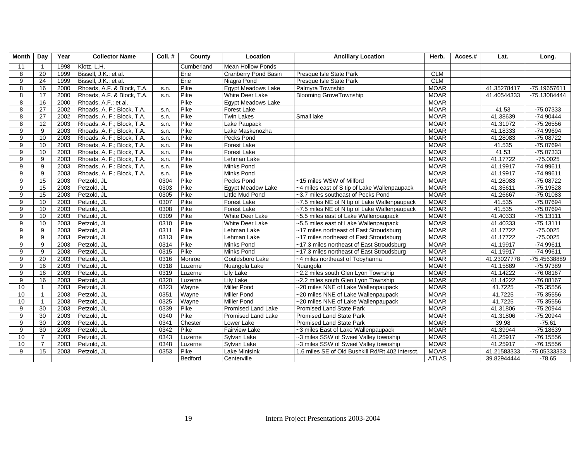| <b>Month</b> | Day             | Year | <b>Collector Name</b>      | Coll.# | County     | Location                    | <b>Ancillary Location</b>                        | Herb.        | Acces.# | Lat.        | Long.        |
|--------------|-----------------|------|----------------------------|--------|------------|-----------------------------|--------------------------------------------------|--------------|---------|-------------|--------------|
| 11           | $\overline{1}$  | 1998 | Klotz. L.H.                |        | Cumberland | <b>Mean Hollow Ponds</b>    |                                                  |              |         |             |              |
| 8            | 20              | 1999 | Bissell, J.K.; et al.      |        | Erie       | <b>Cranberry Pond Basin</b> | Presque Isle State Park                          | <b>CLM</b>   |         |             |              |
| 9            | 24              | 1999 | Bissell, J.K.; et al.      |        | Erie       | Niagra Pond                 | Presque Isle State Park                          | <b>CLM</b>   |         |             |              |
| 8            | 16              | 2000 | Rhoads, A.F. & Block, T.A. | s.n.   | Pike       | <b>Egypt Meadows Lake</b>   | Palmyra Township                                 | <b>MOAR</b>  |         | 41.35278417 | -75.19657611 |
| 8            | 17              | 2000 | Rhoads, A.F. & Block, T.A. | s.n.   | Pike       | White Deer Lake             | <b>Blooming GroveTownship</b>                    | <b>MOAR</b>  |         | 41.40544333 | -75.13084444 |
| 8            | 16              | 2000 | Rhoads, A.F.; et al.       |        | Pike       | Egypt Meadows Lake          |                                                  | <b>MOAR</b>  |         |             |              |
| 8            | 27              | 2002 | Rhoads, A. F.; Block, T.A. | s.n.   | Pike       | <b>Forest Lake</b>          |                                                  | <b>MOAR</b>  |         | 41.53       | $-75.07333$  |
| 8            | 27              | 2002 | Rhoads, A. F.; Block, T.A. | s.n.   | Pike       | <b>Twin Lakes</b>           | Small lake                                       | <b>MOAR</b>  |         | 41.38639    | $-74.90444$  |
| 8            | 12              | 2003 | Rhoads, A. F.; Block, T.A. | s.n.   | Pike       | Lake Paupack                |                                                  | <b>MOAR</b>  |         | 41.31972    | $-75.26556$  |
| 9            | 9               | 2003 | Rhoads, A. F.; Block, T.A. | s.n.   | Pike       | Lake Maskenozha             |                                                  | <b>MOAR</b>  |         | 41.18333    | -74.99694    |
| 9            | 10              | 2003 | Rhoads, A. F.; Block, T.A. | s.n.   | Pike       | Pecks Pond                  |                                                  | <b>MOAR</b>  |         | 41.28083    | $-75.08722$  |
| 9            | 10              | 2003 | Rhoads, A. F.; Block, T.A. | s.n.   | Pike       | Forest Lake                 |                                                  | <b>MOAR</b>  |         | 41.535      | $-75.07694$  |
| 9            | 10              | 2003 | Rhoads, A. F.; Block, T.A. | s.n.   | Pike       | Forest Lake                 |                                                  | <b>MOAR</b>  |         | 41.53       | $-75.07333$  |
| 9            | 9               | 2003 | Rhoads, A. F.; Block, T.A. | s.n.   | Pike       | Lehman Lake                 |                                                  | <b>MOAR</b>  |         | 41.17722    | $-75.0025$   |
| 9            | 9               | 2003 | Rhoads, A. F.; Block, T.A. | s.n.   | Pike       | Minks Pond                  |                                                  | <b>MOAR</b>  |         | 41.19917    | $-74.99611$  |
| 9            | 9               | 2003 | Rhoads, A. F.; Block, T.A. | s.n.   | Pike       | Minks Pond                  |                                                  | <b>MOAR</b>  |         | 41.19917    | $-74.99611$  |
| 9            | 15              | 2003 | Petzold, JL                | 0304   | Pike       | Pecks Pond                  | ~15 miles WSW of Milford                         | <b>MOAR</b>  |         | 41.28083    | $-75.08722$  |
| 9            | 15              | 2003 | Petzold, JL                | 0303   | Pike       | <b>Egypt Meadow Lake</b>    | ~4 miles east of S tip of Lake Wallenpaupack     | <b>MOAR</b>  |         | 41.35611    | $-75.19528$  |
| 9            | 15              | 2003 | Petzold, JL                | 0305   | Pike       | Little Mud Pond             | ~3.7 miles southeast of Pecks Pond               | <b>MOAR</b>  |         | 41.26667    | $-75.01083$  |
| 9            | 10              | 2003 | Petzold, JL                | 0307   | Pike       | Forest Lake                 | ~7.5 miles NE of N tip of Lake Wallenpaupack     | <b>MOAR</b>  |         | 41.535      | $-75.07694$  |
| 9            | 10              | 2003 | Petzold, JL                | 0308   | Pike       | Forest Lake                 | ~7.5 miles NE of N tip of Lake Wallenpaupack     | <b>MOAR</b>  |         | 41.535      | $-75.07694$  |
| 9            | 10              | 2003 | Petzold, JL                | 0309   | Pike       | White Deer Lake             | ~5.5 miles east of Lake Wallenpaupack            | <b>MOAR</b>  |         | 41.40333    | $-75.13111$  |
| 9            | 10              | 2003 | Petzold, JL                | 0310   | Pike       | <b>White Deer Lake</b>      | ~5.5 miles east of Lake Wallenpaupack            | <b>MOAR</b>  |         | 41.40333    | $-75.13111$  |
| 9            | 9               | 2003 | Petzold, JL                | 0311   | Pike       | Lehman Lake                 | ~17 miles northeast of East Stroudsburg          | <b>MOAR</b>  |         | 41.17722    | $-75.0025$   |
| 9            | 9               | 2003 | Petzold, JL                | 0313   | Pike       | Lehman Lake                 | ~17 miles northeast of East Stroudsburg          | <b>MOAR</b>  |         | 41.17722    | $-75.0025$   |
| 9            | 9               | 2003 | Petzold, JL                | 0314   | Pike       | Minks Pond                  | ~17.3 miles northeast of East Stroudsburg        | <b>MOAR</b>  |         | 41.19917    | $-74.99611$  |
| 9            | 9               | 2003 | Petzold, JL                | 0315   | Pike       | <b>Minks Pond</b>           | ~17.3 miles northeast of East Stroudsburg        | <b>MOAR</b>  |         | 41.19917    | $-74.99611$  |
| 9            | $\overline{20}$ | 2003 | Petzold, JL                | 0316   | Monroe     | Gouldsboro Lake             | ~4 miles northeast of Tobyhanna                  | <b>MOAR</b>  |         | 41.23027778 | -75.45638889 |
| 9            | 16              | 2003 | Petzold, JL                | 0318   | Luzerne    | Nuangola Lake               | Nuangola                                         | <b>MOAR</b>  |         | 41.15889    | $-75.97389$  |
| 9            | 16              | 2003 | Petzold, JL                | 0319   | Luzerne    | Lily Lake                   | ~2.2 miles south Glen Lyon Township              | <b>MOAR</b>  |         | 41.14222    | $-76.08167$  |
| 9            | 16              | 2003 | Petzold, JL                | 0320   | Luzerne    | Lily Lake                   | ~2.2 miles south Glen Lyon Township              | <b>MOAR</b>  |         | 41.14222    | $-76.08167$  |
| 10           |                 | 2003 | Petzold, JL                | 0323   | Wayne      | <b>Miller Pond</b>          | ~20 miles NNE of Lake Wallenpaupack              | <b>MOAR</b>  |         | 41.7225     | $-75.35556$  |
| 10           | $\overline{1}$  | 2003 | Petzold, JL                | 0351   | Wayne      | <b>Miller Pond</b>          | ~20 miles NNE of Lake Wallenpaupack              | <b>MOAR</b>  |         | 41.7225     | $-75.35556$  |
| 10           | $\overline{1}$  | 2003 | Petzold, JL                | 0325   | Wayne      | <b>Miller Pond</b>          | ~20 miles NNE of Lake Wallenpaupack              | <b>MOAR</b>  |         | 41.7225     | $-75.35556$  |
| 9            | 30              | 2003 | Petzold, JL                | 0339   | Pike       | Promised Land Lake          | Promised Land State Park                         | <b>MOAR</b>  |         | 41.31806    | $-75.20944$  |
| 9            | 30              | 2003 | Petzold, JL                | 0340   | Pike       | <b>Promised Land Lake</b>   | <b>Promised Land State Park</b>                  | <b>MOAR</b>  |         | 41.31806    | $-75.20944$  |
| 9            | 30              | 2003 | Petzold, JL                | 0341   | Chester    | Lower Lake                  | <b>Promised Land State Park</b>                  | <b>MOAR</b>  |         | 39.98       | $-75.61$     |
| 9            | 30              | 2003 | Petzold, JL                | 0342   | Pike       | <b>Fairview Lake</b>        | ~3 miles East of Lake Wallenpaupack              | <b>MOAR</b>  |         | 41.39944    | $-75.18639$  |
| 10           | $\overline{7}$  | 2003 | Petzold, JL                | 0343   | Luzerne    | Sylvan Lake                 | ~3 miles SSW of Sweet Valley township            | <b>MOAR</b>  |         | 41.25917    | $-76.15556$  |
| 10           | $\overline{7}$  | 2003 | Petzold, JL                | 0348   | Luzerne    | Sylvan Lake                 | ~3 miles SSW of Sweet Valley township            | <b>MOAR</b>  |         | 41.25917    | $-76.15556$  |
| 9            | 15              | 2003 | Petzold, JL                | 0353   | Pike       | Lake Minisink               | 1.6 miles SE of Old Bushkill Rd/Rt 402 intersct. | <b>MOAR</b>  |         | 41.21583333 | -75.05333333 |
|              |                 |      |                            |        | Bedford    | Centerville                 |                                                  | <b>ATLAS</b> |         | 39.82944444 | $-78.65$     |